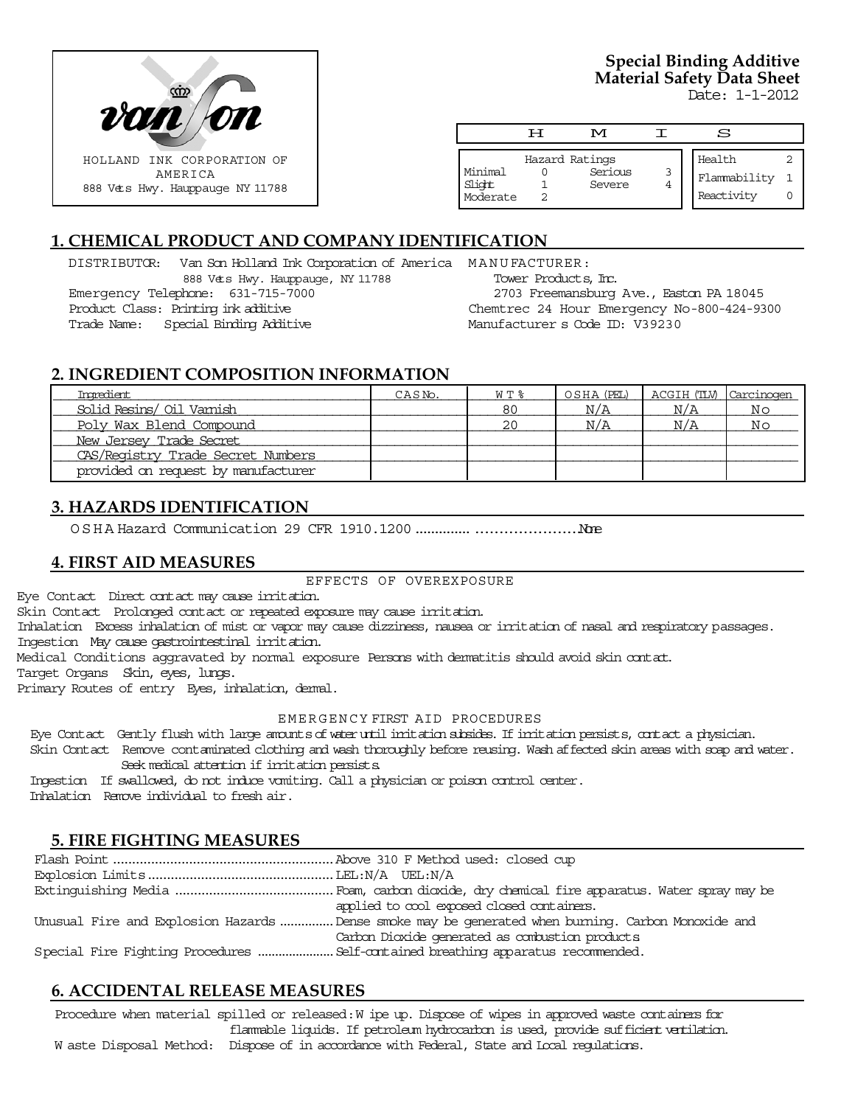

# **Special Binding Additive Material Safety Data Sheet**

Date: 1-1-2012

|                               | ਸ | M                                   |   | S                                    |  |
|-------------------------------|---|-------------------------------------|---|--------------------------------------|--|
| Minimal<br>Slight<br>Moderate |   | Hazard Ratings<br>Serious<br>Severe | 3 | Health<br>Flammability<br>Reactivity |  |

# **1. CHEMICAL PRODUCT AND COMPANY IDENTIFICATION**

DISTRIBUTOR: Van Son Holland Ink Corporation of America MANUFACTURER: 888 Vets Hwy. Hauppauge, NY 11788 Emergency Telephone: 631-715-7000 Product Class: Printing ink additive Trade Name: Special Binding Additive

Tower Products, Inc. 2703 Freemansburg Ave., Easton PA 18045 Chemtrec 24 Hour Emergency No-800-424-9300 Manufacturer s Code ID: V39230

# **2. INGREDIENT COMPOSITION INFORMATION**

| Ingredient                          | CASN <sub>o</sub> . | $W T$ $\approx$ | OSHA (PEL) | ACGIH (TLV) Carcinogen |                |
|-------------------------------------|---------------------|-----------------|------------|------------------------|----------------|
| Solid Resins/ Oil Vamish            |                     | 80              | N/A        | N/A                    | N <sub>O</sub> |
| Poly Wax Blend Compound             |                     | 20              | N/A        | N/A                    | N <sub>O</sub> |
| New Jersey Trade Secret             |                     |                 |            |                        |                |
| CAS/Registry Trade Secret Numbers   |                     |                 |            |                        |                |
| provided on request by manufacturer |                     |                 |            |                        |                |

# **3. HAZARDS IDENTIFICATION**

OSHA Hazard Communication 29 CFR 1910.1200....................................None

## **4. FIRST AID MEASURES**

#### EFFECTS OF OVEREXPOSURE

Eye Contact Direct contact may cause irritation.

Skin Contact Prolonged contact or repeated exposure may cause irritation.

Inhalation Excess inhalation of mist or vapor may cause dizziness, nausea or irritation of nasal and respiratory passages. Ingestion May cause gastrointestinal irritation.

Medical Conditions aggravated by normal exposure Persons with dermatitis should avoid skin contact.

Target Organs Skin, eyes, lungs.

Primary Routes of entry Eyes, inhalation, dermal.

#### EMERGENCY FIRST AID PROCEDURES

Eye Contact Gently flush with large amounts of water until irritation subsides. If irritation persists, contact a physician.

 Skin Contact Remove contaminated clothing and wash thoroughly before reusing. Wash affected skin areas with soap and water. Seek medical attention if irritation persists.

 Ingestion If swallowed, do not induce vomiting. Call a physician or poison control center. Inhalation Remove individual to fresh air.

# **5. FIRE FIGHTING MEASURES**

| applied to cool exposed closed containers.                                                        |
|---------------------------------------------------------------------------------------------------|
| Unusual Fire and Explosion Hazards Dense smoke may be generated when burning. Carbon Monoxide and |
| Carbon Dioxide generated as combustion products                                                   |
|                                                                                                   |

# **6. ACCIDENTAL RELEASE MEASURES**

Procedure when material spilled or released: W ipe up. Dispose of wipes in approved waste containers for flammable liquids. If petroleum hydrocarbon is used, provide sufficient ventilation. W aste Disposal Method: Dispose of in accordance with Federal, State and Local regulations.